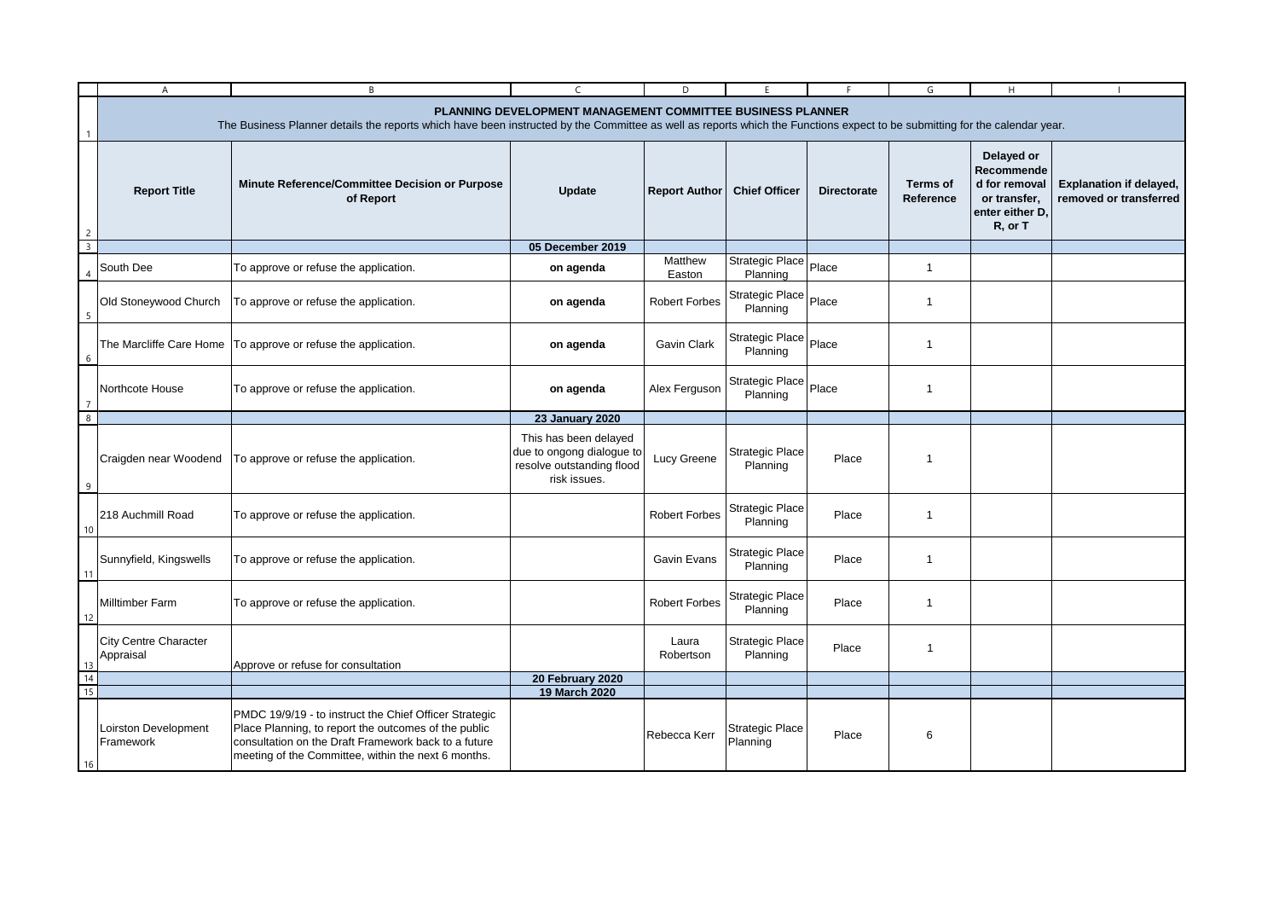|                         | $\mathsf{A}$                              | B                                                                                                                                                                                                                                        | $\mathsf{C}$                                                                                    | D                    | F                                  | F                  | G                            | H                                                                                       | $\overline{1}$                                           |  |  |
|-------------------------|-------------------------------------------|------------------------------------------------------------------------------------------------------------------------------------------------------------------------------------------------------------------------------------------|-------------------------------------------------------------------------------------------------|----------------------|------------------------------------|--------------------|------------------------------|-----------------------------------------------------------------------------------------|----------------------------------------------------------|--|--|
|                         |                                           | PLANNING DEVELOPMENT MANAGEMENT COMMITTEE BUSINESS PLANNER<br>The Business Planner details the reports which have been instructed by the Committee as well as reports which the Functions expect to be submitting for the calendar year. |                                                                                                 |                      |                                    |                    |                              |                                                                                         |                                                          |  |  |
| 2                       | <b>Report Title</b>                       | Minute Reference/Committee Decision or Purpose<br>of Report                                                                                                                                                                              | Update                                                                                          | <b>Report Author</b> | <b>Chief Officer</b>               | <b>Directorate</b> | <b>Terms of</b><br>Reference | Delayed or<br>Recommende<br>d for removal<br>or transfer,<br>enter either D.<br>R, or T | <b>Explanation if delayed,</b><br>removed or transferred |  |  |
| $\overline{\mathbf{3}}$ |                                           |                                                                                                                                                                                                                                          | 05 December 2019                                                                                |                      |                                    |                    |                              |                                                                                         |                                                          |  |  |
|                         | South Dee                                 | To approve or refuse the application.                                                                                                                                                                                                    | on agenda                                                                                       | Matthew<br>Easton    | Strategic Place<br>Planning        | Place              | $\mathbf{1}$                 |                                                                                         |                                                          |  |  |
| -5                      | Old Stoneywood Church                     | To approve or refuse the application.                                                                                                                                                                                                    | on agenda                                                                                       | Robert Forbes        | Strategic Place Place<br>Planning  |                    | $\overline{1}$               |                                                                                         |                                                          |  |  |
| 6                       | The Marcliffe Care Home                   | To approve or refuse the application.                                                                                                                                                                                                    | on agenda                                                                                       | Gavin Clark          | Strategic Place<br>Planning        | Place              | $\overline{1}$               |                                                                                         |                                                          |  |  |
| -7                      | Northcote House                           | To approve or refuse the application.                                                                                                                                                                                                    | on agenda                                                                                       | Alex Ferguson        | Strategic Place<br>Planning        | Place              | $\overline{1}$               |                                                                                         |                                                          |  |  |
| 8                       |                                           |                                                                                                                                                                                                                                          | <b>23 January 2020</b>                                                                          |                      |                                    |                    |                              |                                                                                         |                                                          |  |  |
| 9                       | Craigden near Woodend                     | To approve or refuse the application.                                                                                                                                                                                                    | This has been delayed<br>due to ongong dialogue to<br>resolve outstanding flood<br>risk issues. | Lucy Greene          | <b>Strategic Place</b><br>Planning | Place              | $\overline{1}$               |                                                                                         |                                                          |  |  |
| 10                      | 218 Auchmill Road                         | To approve or refuse the application.                                                                                                                                                                                                    |                                                                                                 | <b>Robert Forbes</b> | <b>Strategic Place</b><br>Planning | Place              | $\overline{1}$               |                                                                                         |                                                          |  |  |
| 11                      | Sunnyfield, Kingswells                    | To approve or refuse the application.                                                                                                                                                                                                    |                                                                                                 | Gavin Evans          | Strategic Place<br>Planning        | Place              | $\overline{1}$               |                                                                                         |                                                          |  |  |
| 12                      | <b>Milltimber Farm</b>                    | To approve or refuse the application.                                                                                                                                                                                                    |                                                                                                 | <b>Robert Forbes</b> | <b>Strategic Place</b><br>Planning | Place              | $\overline{1}$               |                                                                                         |                                                          |  |  |
| 13                      | <b>City Centre Character</b><br>Appraisal | Approve or refuse for consultation                                                                                                                                                                                                       |                                                                                                 | Laura<br>Robertson   | <b>Strategic Place</b><br>Planning | Place              | $\mathbf{1}$                 |                                                                                         |                                                          |  |  |
| 14                      |                                           |                                                                                                                                                                                                                                          | 20 February 2020                                                                                |                      |                                    |                    |                              |                                                                                         |                                                          |  |  |
| 15                      |                                           |                                                                                                                                                                                                                                          | 19 March 2020                                                                                   |                      |                                    |                    |                              |                                                                                         |                                                          |  |  |
| 16                      | Loirston Development<br>Framework         | PMDC 19/9/19 - to instruct the Chief Officer Strategic<br>Place Planning, to report the outcomes of the public<br>consultation on the Draft Framework back to a future<br>meeting of the Committee, within the next 6 months.            |                                                                                                 | Rebecca Kerr         | <b>Strategic Place</b><br>Planning | Place              | 6                            |                                                                                         |                                                          |  |  |